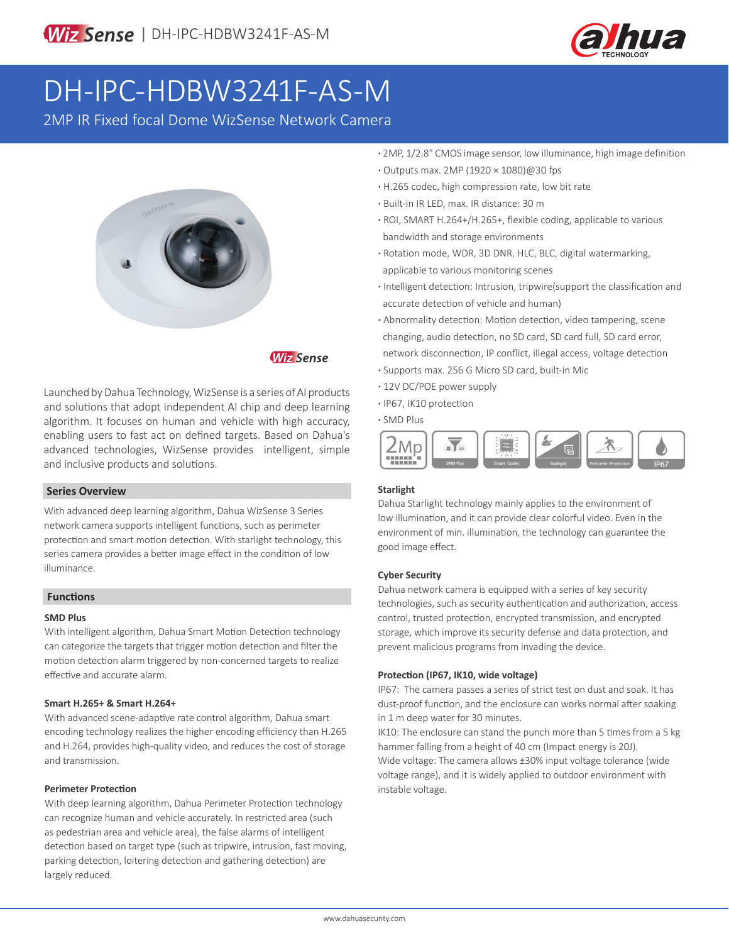

# DH-IPC-HDBW3241F-AS-M

2MP IR Fixed focal Dome WizSense Network Camera



### **Wiz Sense**

Launched by Dahua Technology, WizSense is a series of AI products and solutions that adopt independent AI chip and deep learning algorithm. It focuses on human and vehicle with high accuracy, enabling users to fast act on defined targets. Based on Dahua's advanced technologies, WizSense provides intelligent, simple and inclusive products and solutions.

#### **Series Overview**

With advanced deep learning algorithm, Dahua WizSense 3 Series network camera supports intelligent functions, such as perimeter protection and smart motion detection. With starlight technology, this series camera provides a better image effect in the condition of low illuminance.

#### **Functions**

#### **SMD Plus**

With intelligent algorithm, Dahua Smart Motion Detection technology can categorize the targets that trigger motion detection and filter the motion detection alarm triggered by non-concerned targets to realize effective and accurate alarm.

#### **Smart H.265+ & Smart H.264+**

With advanced scene-adaptive rate control algorithm, Dahua smart encoding technology realizes the higher encoding efficiency than H.265 and H.264, provides high-quality video, and reduces the cost of storage and transmission.

#### **Perimeter Protection**

With deep learning algorithm, Dahua Perimeter Protection technology can recognize human and vehicle accurately. In restricted area (such as pedestrian area and vehicle area), the false alarms of intelligent detection based on target type (such as tripwire, intrusion, fast moving, parking detection, loitering detection and gathering detection) are largely reduced.

- **·** 2MP, 1/2.8" CMOS image sensor, low illuminance, high image definition
- **·** Outputs max. 2MP (1920 × 1080)@30 fps
- **·** H.265 codec, high compression rate, low bit rate
- **·** Built-in IR LED, max. IR distance: 30 m
- **·** ROI, SMART H.264+/H.265+, flexible coding, applicable to various bandwidth and storage environments
- **·** Rotation mode, WDR, 3D DNR, HLC, BLC, digital watermarking, applicable to various monitoring scenes
- **·** Intelligent detection: Intrusion, tripwire(support the classification and accurate detection of vehicle and human)
- **·** Abnormality detection: Motion detection, video tampering, scene changing, audio detection, no SD card, SD card full, SD card error, network disconnection, IP conflict, illegal access, voltage detection
- **·** Supports max. 256 G Micro SD card, built-in Mic
- **·** 12V DC/POE power supply
- **·** IP67, IK10 protection
- **·** SMD Plus



#### **Starlight**

Dahua Starlight technology mainly applies to the environment of low illumination, and it can provide clear colorful video. Even in the environment of min. illumination, the technology can guarantee the good image effect.

#### **Cyber Security**

Dahua network camera is equipped with a series of key security technologies, such as security authentication and authorization, access control, trusted protection, encrypted transmission, and encrypted storage, which improve its security defense and data protection, and prevent malicious programs from invading the device.

#### **Protection (IP67, IK10, wide voltage)**

IP67: The camera passes a series of strict test on dust and soak. It has dust-proof function, and the enclosure can works normal after soaking in 1 m deep water for 30 minutes.

IK10: The enclosure can stand the punch more than 5 times from a 5 kg hammer falling from a height of 40 cm (Impact energy is 20J). Wide voltage: The camera allows ±30% input voltage tolerance (wide voltage range), and it is widely applied to outdoor environment with instable voltage.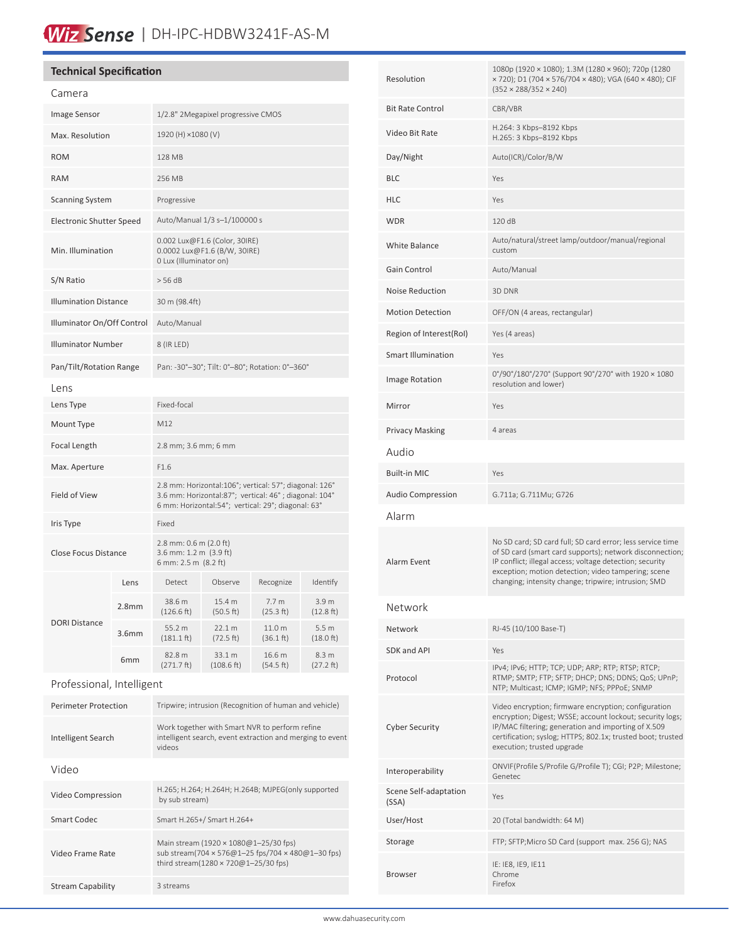## Wiz Sense | DH-IPC-HDBW3241F-AS-M

#### **Technical Specification**

Video Frame Rate

Stream Capability 3 streams

| Camera                       |                   |                                                                                                                                                                       |                      |                               |                                         |
|------------------------------|-------------------|-----------------------------------------------------------------------------------------------------------------------------------------------------------------------|----------------------|-------------------------------|-----------------------------------------|
| Image Sensor                 |                   | 1/2.8" 2Megapixel progressive CMOS                                                                                                                                    |                      |                               |                                         |
| Max. Resolution              |                   | 1920 (H) ×1080 (V)                                                                                                                                                    |                      |                               |                                         |
| <b>ROM</b>                   |                   | <b>128 MB</b>                                                                                                                                                         |                      |                               |                                         |
| <b>RAM</b>                   |                   | 256 MB                                                                                                                                                                |                      |                               |                                         |
| <b>Scanning System</b>       |                   | Progressive                                                                                                                                                           |                      |                               |                                         |
| Electronic Shutter Speed     |                   | Auto/Manual 1/3 s-1/100000 s                                                                                                                                          |                      |                               |                                         |
| Min. Illumination            |                   | 0.002 Lux@F1.6 (Color, 30IRE)<br>0.0002 Lux@F1.6 (B/W, 30IRE)<br>0 Lux (Illuminator on)                                                                               |                      |                               |                                         |
| S/N Ratio                    |                   | $>$ 56 dB                                                                                                                                                             |                      |                               |                                         |
| <b>Illumination Distance</b> |                   | 30 m (98.4ft)                                                                                                                                                         |                      |                               |                                         |
| Illuminator On/Off Control   |                   | Auto/Manual                                                                                                                                                           |                      |                               |                                         |
| <b>Illuminator Number</b>    |                   | 8 (IR LED)                                                                                                                                                            |                      |                               |                                         |
| Pan/Tilt/Rotation Range      |                   | Pan: -30°-30°; Tilt: 0°-80°; Rotation: 0°-360°                                                                                                                        |                      |                               |                                         |
| Lens                         |                   |                                                                                                                                                                       |                      |                               |                                         |
| Lens Type                    |                   | Fixed-focal                                                                                                                                                           |                      |                               |                                         |
| Mount Type                   |                   | M12                                                                                                                                                                   |                      |                               |                                         |
| Focal Length                 |                   | 2.8 mm; 3.6 mm; 6 mm                                                                                                                                                  |                      |                               |                                         |
| Max. Aperture                |                   | F1.6                                                                                                                                                                  |                      |                               |                                         |
| Field of View                |                   | 2.8 mm: Horizontal:106°; vertical: 57°; diagonal: 126°<br>3.6 mm: Horizontal:87°; vertical: 46°; diagonal: 104°<br>6 mm: Horizontal:54°; vertical: 29°; diagonal: 63° |                      |                               |                                         |
| Iris Type                    |                   | Fixed                                                                                                                                                                 |                      |                               |                                         |
| <b>Close Focus Distance</b>  |                   | 2.8 mm: 0.6 m (2.0 ft)<br>3.6 mm: 1.2 m (3.9 ft)<br>6 mm: 2.5 m (8.2 ft)                                                                                              |                      |                               |                                         |
|                              | Lens              | Detect                                                                                                                                                                | Observe              | Recognize                     | Identify                                |
|                              | 2.8mm             | 38.6 m<br>(126.6 ft)                                                                                                                                                  | 15.4 m<br>(50.5 ft)  | 7.7 <sub>m</sub><br>(25.3 ft) | 3.9 <sub>m</sub><br>$(12.8 \text{ ft})$ |
| DORI Distance                | 3.6 <sub>mm</sub> | 55.2 m<br>$(181.1 \text{ ft})$                                                                                                                                        | 22.1 m<br>(72.5 ft)  | 11.0 m<br>(36.1 ft)           | 5.5 <sub>m</sub><br>(18.0 ft)           |
|                              | 6mm               | 82.8 m<br>$(271.7 \text{ ft})$                                                                                                                                        | 33.1 m<br>(108.6 ft) | 16.6 m<br>(54.5 ft)           | 8.3 m<br>(27.2 ft)                      |
| Professional, Intelligent    |                   |                                                                                                                                                                       |                      |                               |                                         |
| <b>Perimeter Protection</b>  |                   | Tripwire; intrusion (Recognition of human and vehicle)                                                                                                                |                      |                               |                                         |
| Intelligent Search           |                   | Work together with Smart NVR to perform refine<br>intelligent search, event extraction and merging to event<br>videos                                                 |                      |                               |                                         |
| Video                        |                   |                                                                                                                                                                       |                      |                               |                                         |
| Video Compression            |                   | H.265; H.264; H.264H; H.264B; MJPEG(only supported<br>by sub stream)                                                                                                  |                      |                               |                                         |
| <b>Smart Codec</b>           |                   | Smart H.265+/ Smart H.264+                                                                                                                                            |                      |                               |                                         |

Main stream (1920 × 1080@1–25/30 fps)

third stream(1280 × 720@1–25/30 fps)

sub stream(704 × 576@1–25 fps/704 × 480@1–30 fps)

| Resolution                     | 1080p (1920 × 1080); 1.3M (1280 × 960); 720p (1280<br>× 720); D1 (704 × 576/704 × 480); VGA (640 × 480); CIF<br>$(352 \times 288/352 \times 240)$                                                                                                                                                 |  |  |  |
|--------------------------------|---------------------------------------------------------------------------------------------------------------------------------------------------------------------------------------------------------------------------------------------------------------------------------------------------|--|--|--|
| <b>Bit Rate Control</b>        | CBR/VBR                                                                                                                                                                                                                                                                                           |  |  |  |
| Video Bit Rate                 | H.264: 3 Kbps-8192 Kbps<br>H.265: 3 Kbps-8192 Kbps                                                                                                                                                                                                                                                |  |  |  |
| Day/Night                      | Auto(ICR)/Color/B/W                                                                                                                                                                                                                                                                               |  |  |  |
| BLC                            | Yes                                                                                                                                                                                                                                                                                               |  |  |  |
| HLC                            | Yes                                                                                                                                                                                                                                                                                               |  |  |  |
| <b>WDR</b>                     | 120 dB                                                                                                                                                                                                                                                                                            |  |  |  |
| White Balance                  | Auto/natural/street lamp/outdoor/manual/regional<br>custom                                                                                                                                                                                                                                        |  |  |  |
| Gain Control                   | Auto/Manual                                                                                                                                                                                                                                                                                       |  |  |  |
| Noise Reduction                | 3D DNR                                                                                                                                                                                                                                                                                            |  |  |  |
| <b>Motion Detection</b>        | OFF/ON (4 areas, rectangular)                                                                                                                                                                                                                                                                     |  |  |  |
| Region of Interest(RoI)        | Yes (4 areas)                                                                                                                                                                                                                                                                                     |  |  |  |
| Smart Illumination             | Yes                                                                                                                                                                                                                                                                                               |  |  |  |
| Image Rotation                 | 0°/90°/180°/270° (Support 90°/270° with 1920 × 1080<br>resolution and lower)                                                                                                                                                                                                                      |  |  |  |
| Mirror                         | Yes                                                                                                                                                                                                                                                                                               |  |  |  |
| Privacy Masking                | 4 areas                                                                                                                                                                                                                                                                                           |  |  |  |
| Audio                          |                                                                                                                                                                                                                                                                                                   |  |  |  |
| Built-in MIC                   | Yes                                                                                                                                                                                                                                                                                               |  |  |  |
| Audio Compression              | G.711a; G.711Mu; G726                                                                                                                                                                                                                                                                             |  |  |  |
| Alarm                          |                                                                                                                                                                                                                                                                                                   |  |  |  |
| Alarm Event                    | No SD card; SD card full; SD card error; less service time<br>of SD card (smart card supports); network disconnection;<br>IP conflict; illegal access; voltage detection; security<br>exception; motion detection; video tampering; scene<br>changing; intensity change; tripwire; intrusion; SMD |  |  |  |
| Network                        |                                                                                                                                                                                                                                                                                                   |  |  |  |
| Network                        | RJ-45 (10/100 Base-T)                                                                                                                                                                                                                                                                             |  |  |  |
| SDK and API                    | Yes                                                                                                                                                                                                                                                                                               |  |  |  |
| Protocol                       | IPv4; IPv6; HTTP; TCP; UDP; ARP; RTP; RTSP; RTCP;<br>RTMP; SMTP; FTP; SFTP; DHCP; DNS; DDNS; QoS; UPnP;<br>NTP; Multicast; ICMP; IGMP; NFS; PPPoE; SNMP                                                                                                                                           |  |  |  |
| <b>Cyber Security</b>          | Video encryption; firmware encryption; configuration<br>encryption; Digest; WSSE; account lockout; security logs;<br>IP/MAC filtering; generation and importing of X.509<br>certification; syslog; HTTPS; 802.1x; trusted boot; trusted<br>execution; trusted upgrade                             |  |  |  |
| Interoperability               | ONVIF(Profile S/Profile G/Profile T); CGI; P2P; Milestone;<br>Genetec                                                                                                                                                                                                                             |  |  |  |
| Scene Self-adaptation<br>(SSA) | Yes                                                                                                                                                                                                                                                                                               |  |  |  |
| User/Host                      | 20 (Total bandwidth: 64 M)                                                                                                                                                                                                                                                                        |  |  |  |
| Storage                        | FTP; SFTP; Micro SD Card (support max. 256 G); NAS                                                                                                                                                                                                                                                |  |  |  |
| Browser                        | IE: IE8, IE9, IE11<br>Chrome<br>Firefox                                                                                                                                                                                                                                                           |  |  |  |